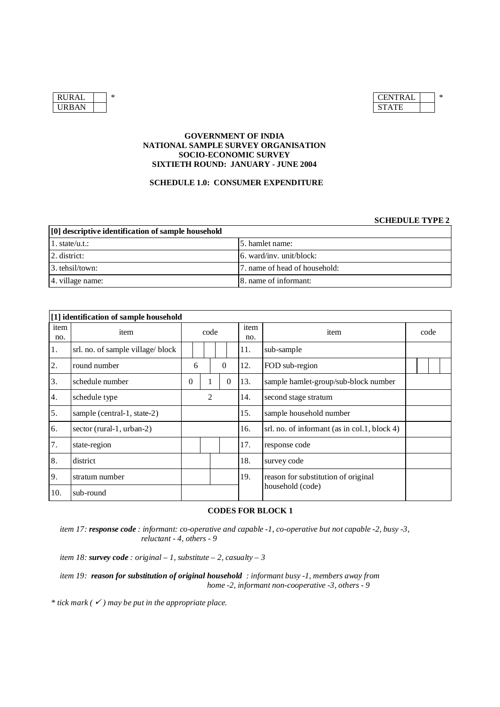| <b>RURAL</b> | ∗ | <b>CENTR</b> |
|--------------|---|--------------|
| <b>URBAN</b> |   | <b>STATE</b> |

| RURAL | ∗ | <b>CENTRAL</b> | ∗ |
|-------|---|----------------|---|
| URBAN |   | <b>STATE</b>   |   |

### **GOVERNMENT OF INDIA NATIONAL SAMPLE SURVEY ORGANISATION SOCIO-ECONOMIC SURVEY SIXTIETH ROUND: JANUARY - JUNE 2004**

### **SCHEDULE 1.0: CONSUMER EXPENDITURE**

### **SCHEDULE TYPE 2**

| [0] descriptive identification of sample household |                                  |  |  |  |  |  |  |  |
|----------------------------------------------------|----------------------------------|--|--|--|--|--|--|--|
| 1. state/u.t.                                      | 15. hamlet name:                 |  |  |  |  |  |  |  |
| $ 2.$ district:                                    | $\vert$ 6. ward/inv. unit/block: |  |  |  |  |  |  |  |
| 3. tehsil/town:                                    | 7. name of head of household:    |  |  |  |  |  |  |  |
| 4. village name:                                   | 8. name of informant:            |  |  |  |  |  |  |  |

|             | [1] identification of sample household |                |      |              |                |                         |     |                                              |  |  |  |  |
|-------------|----------------------------------------|----------------|------|--------------|----------------|-------------------------|-----|----------------------------------------------|--|--|--|--|
| item<br>no. | item                                   |                | code |              | item<br>no.    | item                    |     | code                                         |  |  |  |  |
| 1.          | srl. no. of sample village/block       |                |      |              |                |                         | 11. | sub-sample                                   |  |  |  |  |
| 2.          | round number                           |                | 6    |              | $\mathbf{0}$   |                         | 12. | FOD sub-region                               |  |  |  |  |
| 3.          | schedule number                        | $\overline{0}$ |      | $\mathbf{I}$ | $\overline{0}$ |                         | 13. | sample hamlet-group/sub-block number         |  |  |  |  |
| 4.          | schedule type                          |                | 2    |              | 14.            | second stage stratum    |     |                                              |  |  |  |  |
| 5.          | sample (central-1, state-2)            |                |      |              | 15.            | sample household number |     |                                              |  |  |  |  |
| 6.          | sector (rural-1, urban-2)              |                |      |              |                |                         | 16. | srl. no. of informant (as in col.1, block 4) |  |  |  |  |
| 7.          | state-region                           |                |      |              |                |                         | 17. | response code                                |  |  |  |  |
| 8.          | district                               |                |      |              |                |                         | 18. | survey code                                  |  |  |  |  |
| 9.          | stratum number                         |                |      |              |                |                         | 19. | reason for substitution of original          |  |  |  |  |
| 10.         | sub-round                              |                |      |              |                |                         |     | household (code)                             |  |  |  |  |

### **CODES FOR BLOCK 1**

*item 17: response code : informant: co-operative and capable -1, co-operative but not capable -2, busy -3, reluctant - 4, others - 9*

*item* 18: *survey code* : *original* – 1, *substitute* – 2, *casualty* – 3

*item 19: reason for substitution of original household : informant busy -1, members away from home -2, informant non-cooperative -3, others - 9*

 $*$  *tick mark* ( $\checkmark$ ) *may be put in the appropriate place.*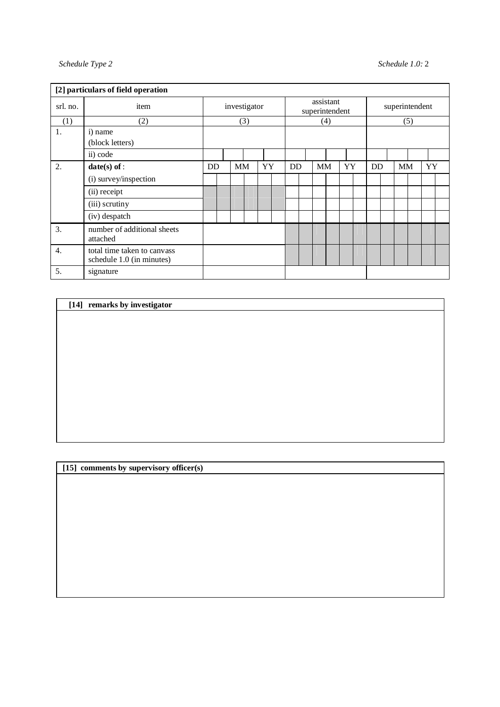|          | [2] particulars of field operation                       |    |              |           |    |  |           |                             |    |  |    |  |                |  |           |  |    |  |
|----------|----------------------------------------------------------|----|--------------|-----------|----|--|-----------|-----------------------------|----|--|----|--|----------------|--|-----------|--|----|--|
| srl. no. | item                                                     |    | investigator |           |    |  |           | assistant<br>superintendent |    |  |    |  | superintendent |  |           |  |    |  |
| (1)      | (2)                                                      |    | (3)          |           |    |  | (4)       |                             |    |  |    |  | (5)            |  |           |  |    |  |
| 1.       | i) name<br>(block letters)                               |    |              |           |    |  |           |                             |    |  |    |  |                |  |           |  |    |  |
|          | ii) code                                                 |    |              |           |    |  |           |                             |    |  |    |  |                |  |           |  |    |  |
| 2.       | $date(s)$ of :                                           | DD |              | <b>MM</b> | YY |  | <b>DD</b> |                             | MM |  | YY |  | <b>DD</b>      |  | <b>MM</b> |  | YY |  |
|          | (i) survey/inspection                                    |    |              |           |    |  |           |                             |    |  |    |  |                |  |           |  |    |  |
|          | (ii) receipt                                             |    |              |           |    |  |           |                             |    |  |    |  |                |  |           |  |    |  |
|          | (iii) scrutiny                                           |    |              |           |    |  |           |                             |    |  |    |  |                |  |           |  |    |  |
|          | (iv) despatch                                            |    |              |           |    |  |           |                             |    |  |    |  |                |  |           |  |    |  |
| 3.       | number of additional sheets<br>attached                  |    |              |           |    |  |           |                             |    |  |    |  |                |  |           |  |    |  |
| 4.       | total time taken to canvass<br>schedule 1.0 (in minutes) |    |              |           |    |  |           |                             |    |  |    |  |                |  |           |  |    |  |
| 5.       | signature                                                |    |              |           |    |  |           |                             |    |  |    |  |                |  |           |  |    |  |

### **[14] remarks by investigator**

# **[15] comments by supervisory officer(s)**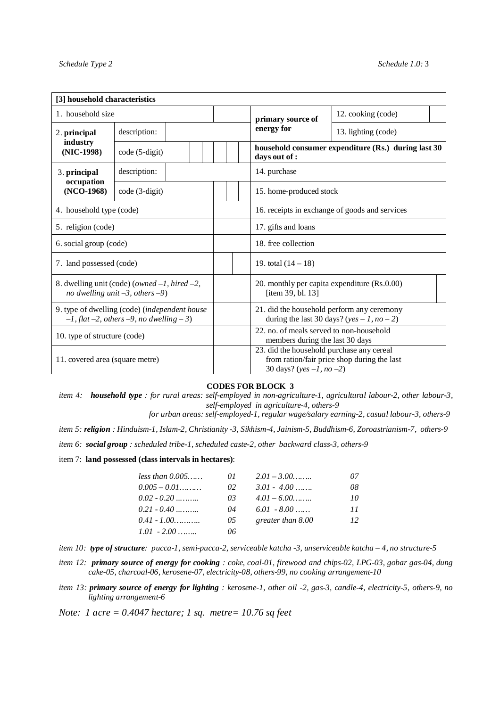| [3] household characteristics                                                                        |                                                                                             |  |                                                                                          |                                             |  |  |  |  |  |
|------------------------------------------------------------------------------------------------------|---------------------------------------------------------------------------------------------|--|------------------------------------------------------------------------------------------|---------------------------------------------|--|--|--|--|--|
| 1. household size                                                                                    |                                                                                             |  | primary source of                                                                        | 12. cooking (code)                          |  |  |  |  |  |
| 2. principal                                                                                         | description:                                                                                |  | energy for                                                                               | 13. lighting (code)                         |  |  |  |  |  |
| industry<br>(NIC-1998)                                                                               | code (5-digit)                                                                              |  | household consumer expenditure (Rs.) during last 30<br>days out of :                     |                                             |  |  |  |  |  |
| 3. principal                                                                                         | description:                                                                                |  | 14. purchase                                                                             |                                             |  |  |  |  |  |
| occupation<br>$(NCO-1968)$                                                                           | code (3-digit)                                                                              |  | 15. home-produced stock                                                                  |                                             |  |  |  |  |  |
| 4. household type (code)                                                                             |                                                                                             |  | 16. receipts in exchange of goods and services                                           |                                             |  |  |  |  |  |
| 5. religion (code)                                                                                   |                                                                                             |  | 17. gifts and loans                                                                      |                                             |  |  |  |  |  |
| 6. social group (code)                                                                               |                                                                                             |  | 18. free collection                                                                      |                                             |  |  |  |  |  |
| 7. land possessed (code)                                                                             |                                                                                             |  | 19. total $(14 - 18)$                                                                    |                                             |  |  |  |  |  |
|                                                                                                      | 8. dwelling unit (code) (owned $-1$ , hired $-2$ ,<br>no dwelling unit $-3$ , others $-9$ ) |  | 20. monthly per capita expenditure (Rs.0.00)<br>[item 39, bl. 13]                        |                                             |  |  |  |  |  |
| 9. type of dwelling (code) (independent house<br>$-1$ , flat $-2$ , others $-9$ , no dwelling $-3$ ) |                                                                                             |  | 21. did the household perform any ceremony<br>during the last 30 days? (yes – 1, no – 2) |                                             |  |  |  |  |  |
| 10. type of structure (code)                                                                         |                                                                                             |  | 22, no. of meals served to non-household<br>members during the last 30 days              |                                             |  |  |  |  |  |
| 11. covered area (square metre)                                                                      |                                                                                             |  | 23. did the household purchase any cereal<br>30 days? (yes $-1$ , no $-2$ )              | from ration/fair price shop during the last |  |  |  |  |  |

### **CODES FOR BLOCK 3**

*item 4: household type : for rural areas: self-employed in non-agriculture-1, agricultural labour-2, other labour-3, self-employed in agriculture-4, others-9*

 *for urban areas: self-employed-1, regular wage/salary earning-2, casual labour-3, others-9*

*item 5: religion : Hinduism-1, Islam-2, Christianity -3, Sikhism-4, Jainism-5, Buddhism-6, Zoroastrianism-7, others-9*

*item 6: social group : scheduled tribe-1, scheduled caste-2, other backward class-3, others-9* 

item 7: **land possessed (class intervals in hectares)**:

| less than 0.005 | 01  | $2.01 - 3.00$     | 07 |
|-----------------|-----|-------------------|----|
| $0.005 - 0.01$  | 02. | $3.01 - 4.00$     | 08 |
| $0.02 - 0.20$   | 03. | $4.01 - 6.00$     | 10 |
| $0.21 - 0.40$   | 04  | $6.01 - 8.00$     | 11 |
| $0.41 - 1.00$   | 05  | greater than 8.00 | 12 |
| $1.01 - 2.00$   | 06. |                   |    |

- *item 10: type of structure: pucca-1, semi-pucca-2, serviceable katcha -3, unserviceable katcha – 4, no structure-5*
- *item 12: primary source of energy for cooking : coke, coal-01, firewood and chips-02, LPG-03, gobar gas-04, dung cake-05, charcoal-06, kerosene-07, electricity-08, others-99, no cooking arrangement-10*
- *item 13: primary source of energy for lighting : kerosene-1, other oil -2, gas-3, candle-4, electricity-5, others-9, no lighting arrangement-6*

*Note: 1 acre = 0.4047 hectare; 1 sq. metre= 10.76 sq feet*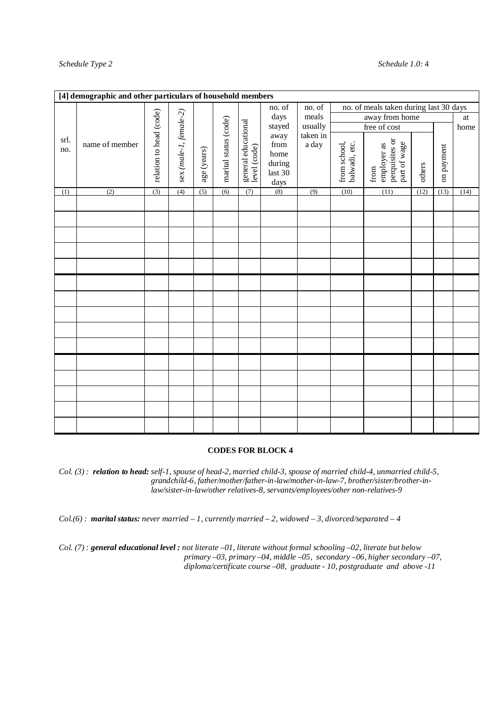|             | [4] demographic and other particulars of household members |                         |                        |             |                       |                                     |                                                          |                   |                               |                                                       |        |            |      |
|-------------|------------------------------------------------------------|-------------------------|------------------------|-------------|-----------------------|-------------------------------------|----------------------------------------------------------|-------------------|-------------------------------|-------------------------------------------------------|--------|------------|------|
|             |                                                            |                         |                        |             |                       |                                     | no. of                                                   | no. of            |                               | no. of meals taken during last 30 days                |        |            |      |
|             |                                                            |                         |                        |             |                       |                                     | days                                                     | meals             |                               | away from home                                        |        |            | at   |
|             |                                                            |                         |                        |             |                       |                                     | stayed                                                   | usually           |                               | free of cost                                          |        |            | home |
| srl.<br>no. | name of member                                             | relation to head (code) | sex (male-1, female-2) | age (years) | marital status (code) | general educational<br>level (code) | away<br>from<br>home<br>$\rm{during}$<br>last 30<br>days | taken in<br>a day | from school,<br>balwadi, etc. | perquisites or<br>part of wage<br>employer as<br>from | others | on payment |      |
| (1)         | (2)                                                        | (3)                     | (4)                    | (5)         | (6)                   | (7)                                 | (8)                                                      | (9)               | (10)                          | (11)                                                  | (12)   | (13)       | (14) |
|             |                                                            |                         |                        |             |                       |                                     |                                                          |                   |                               |                                                       |        |            |      |
|             |                                                            |                         |                        |             |                       |                                     |                                                          |                   |                               |                                                       |        |            |      |
|             |                                                            |                         |                        |             |                       |                                     |                                                          |                   |                               |                                                       |        |            |      |
|             |                                                            |                         |                        |             |                       |                                     |                                                          |                   |                               |                                                       |        |            |      |
|             |                                                            |                         |                        |             |                       |                                     |                                                          |                   |                               |                                                       |        |            |      |
|             |                                                            |                         |                        |             |                       |                                     |                                                          |                   |                               |                                                       |        |            |      |
|             |                                                            |                         |                        |             |                       |                                     |                                                          |                   |                               |                                                       |        |            |      |
|             |                                                            |                         |                        |             |                       |                                     |                                                          |                   |                               |                                                       |        |            |      |
|             |                                                            |                         |                        |             |                       |                                     |                                                          |                   |                               |                                                       |        |            |      |
|             |                                                            |                         |                        |             |                       |                                     |                                                          |                   |                               |                                                       |        |            |      |
|             |                                                            |                         |                        |             |                       |                                     |                                                          |                   |                               |                                                       |        |            |      |
|             |                                                            |                         |                        |             |                       |                                     |                                                          |                   |                               |                                                       |        |            |      |
|             |                                                            |                         |                        |             |                       |                                     |                                                          |                   |                               |                                                       |        |            |      |
|             |                                                            |                         |                        |             |                       |                                     |                                                          |                   |                               |                                                       |        |            |      |
|             |                                                            |                         |                        |             |                       |                                     |                                                          |                   |                               |                                                       |        |            |      |

### **CODES FOR BLOCK 4**

*Col. (3) : relation to head: self-1, spouse of head-2, married child-3, spouse of married child-4, unmarried child-5, grandchild-6, father/mother/father-in-law/mother-in-law-7, brother/sister/brother-inlaw/sister-in-law/other relatives-8, servants/employees/other non-relatives-9*

*Col.(6) : marital status: never married – 1, currently married – 2, widowed – 3, divorced/separated – 4*

*Col. (7) : general educational level : not literate –01, literate without formal schooling –02, literate but below primary –03, primary –04, middle –05, secondary –06, higher secondary –07, diploma/certificate course –08, graduate - 10, postgraduate and above -11*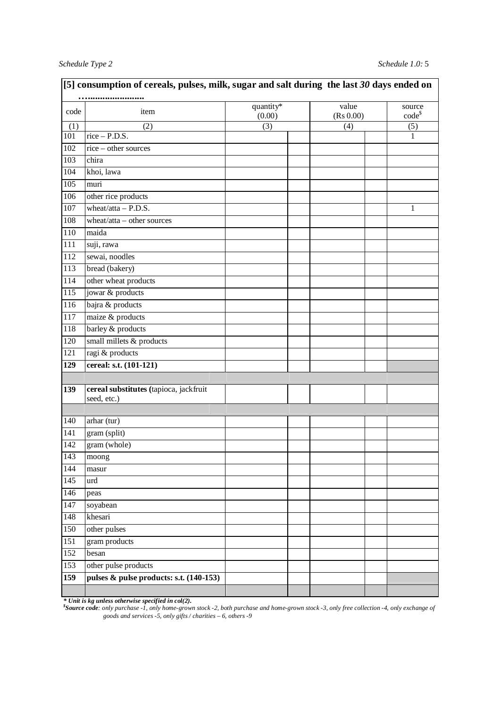| code             | item                                    | quantity*<br>(0.00) | value<br>(Rs 0.00) | source<br>$code^{\$}$ |
|------------------|-----------------------------------------|---------------------|--------------------|-----------------------|
| (1)              | (2)                                     | (3)                 | (4)                | (5)                   |
| 101              | $rice - P.D.S.$                         |                     |                    | 1                     |
| 102              | rice - other sources                    |                     |                    |                       |
| 103              | chira                                   |                     |                    |                       |
| 104              | khoi, lawa                              |                     |                    |                       |
| 105              | muri                                    |                     |                    |                       |
| 106              | other rice products                     |                     |                    |                       |
| 107              | wheat/atta $-$ P.D.S.                   |                     |                    | 1                     |
| 108              | wheat/atta - other sources              |                     |                    |                       |
| 110              | maida                                   |                     |                    |                       |
| 111              | suji, rawa                              |                     |                    |                       |
| $\overline{112}$ | sewai, noodles                          |                     |                    |                       |
| 113              | bread (bakery)                          |                     |                    |                       |
| 114              | other wheat products                    |                     |                    |                       |
| 115              | jowar & products                        |                     |                    |                       |
| 116              | bajra & products                        |                     |                    |                       |
| 117              | maize & products                        |                     |                    |                       |
| 118              | barley & products                       |                     |                    |                       |
| 120              | small millets & products                |                     |                    |                       |
| 121              | ragi $&$ products                       |                     |                    |                       |
| 129              | cereal: s.t. (101-121)                  |                     |                    |                       |
|                  |                                         |                     |                    |                       |
| 139              | cereal substitutes (tapioca, jackfruit  |                     |                    |                       |
|                  | seed, etc.)                             |                     |                    |                       |
|                  |                                         |                     |                    |                       |
| 140              | arhar (tur)                             |                     |                    |                       |
| $\overline{141}$ | gram (split)                            |                     |                    |                       |
| 142              | gram (whole)                            |                     |                    |                       |
| 143              | moong                                   |                     |                    |                       |
| 144              | masur                                   |                     |                    |                       |
| 145              | urd                                     |                     |                    |                       |
| 146              | peas                                    |                     |                    |                       |
| 147              | soyabean                                |                     |                    |                       |
| 148              | khesari                                 |                     |                    |                       |
| 150              | other pulses                            |                     |                    |                       |
| 151              | gram products                           |                     |                    |                       |
| 152              | besan                                   |                     |                    |                       |
| 153              | other pulse products                    |                     |                    |                       |
| 159              | pulses & pulse products: s.t. (140-153) |                     |                    |                       |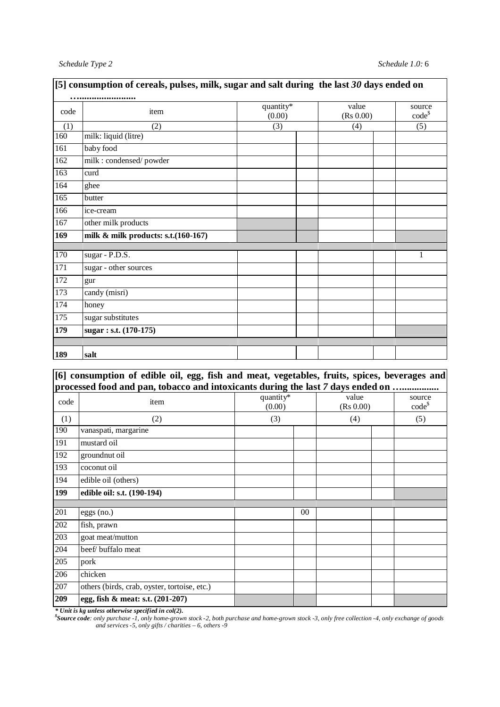| [5] consumption of cereals, pulses, milk, sugar and salt during the last $30$ days ended on |                                             |                     |                    |                    |  |  |  |  |  |  |
|---------------------------------------------------------------------------------------------|---------------------------------------------|---------------------|--------------------|--------------------|--|--|--|--|--|--|
| code                                                                                        | item                                        | quantity*<br>(0.00) | value<br>(Rs 0.00) | source<br>$code^s$ |  |  |  |  |  |  |
| (1)                                                                                         | (2)                                         | (3)                 | (4)                | (5)                |  |  |  |  |  |  |
| 160                                                                                         | milk: liquid (litre)                        |                     |                    |                    |  |  |  |  |  |  |
| 161                                                                                         | baby food                                   |                     |                    |                    |  |  |  |  |  |  |
| 162                                                                                         | milk : condensed/powder                     |                     |                    |                    |  |  |  |  |  |  |
| $\overline{163}$                                                                            | curd                                        |                     |                    |                    |  |  |  |  |  |  |
| 164                                                                                         | ghee                                        |                     |                    |                    |  |  |  |  |  |  |
| 165                                                                                         | butter                                      |                     |                    |                    |  |  |  |  |  |  |
| 166                                                                                         | ice-cream                                   |                     |                    |                    |  |  |  |  |  |  |
| 167                                                                                         | other milk products                         |                     |                    |                    |  |  |  |  |  |  |
| 169                                                                                         | milk & milk products: s.t.(160-167)         |                     |                    |                    |  |  |  |  |  |  |
|                                                                                             |                                             |                     |                    |                    |  |  |  |  |  |  |
| 170                                                                                         | sugar - P.D.S.                              |                     |                    | 1                  |  |  |  |  |  |  |
| 171                                                                                         | sugar - other sources                       |                     |                    |                    |  |  |  |  |  |  |
| 172                                                                                         | gur                                         |                     |                    |                    |  |  |  |  |  |  |
| 173                                                                                         | candy (misri)                               |                     |                    |                    |  |  |  |  |  |  |
| 174                                                                                         | honey                                       |                     |                    |                    |  |  |  |  |  |  |
| $\overline{175}$                                                                            | sugar substitutes                           |                     |                    |                    |  |  |  |  |  |  |
| 179                                                                                         | $\overline{\text{ sugar}}$ : s.t. (170-175) |                     |                    |                    |  |  |  |  |  |  |
|                                                                                             |                                             |                     |                    |                    |  |  |  |  |  |  |
| 189                                                                                         | salt                                        |                     |                    |                    |  |  |  |  |  |  |

# **[5] consumption of cereals, pulses, milk, sugar and salt during the last** *30* **days ended on**

### **[6] consumption of edible oil, egg, fish and meat, vegetables, fruits, spices, beverages and processed food and pan, tobacco and intoxicants during the last** *7* **days ended on …...............**

|      | processed lood and pail, topaceo and intoxicants during the last / 'days chucu on mimimimi |                     |                    |                       |  |  |  |
|------|--------------------------------------------------------------------------------------------|---------------------|--------------------|-----------------------|--|--|--|
| code | item                                                                                       | quantity*<br>(0.00) | value<br>(Rs 0.00) | source<br>$code^{\$}$ |  |  |  |
| (1)  | (2)                                                                                        | (3)                 | (4)                | (5)                   |  |  |  |
| 190  | vanaspati, margarine                                                                       |                     |                    |                       |  |  |  |
| 191  | mustard oil                                                                                |                     |                    |                       |  |  |  |
| 192  | groundnut oil                                                                              |                     |                    |                       |  |  |  |
| 193  | coconut oil                                                                                |                     |                    |                       |  |  |  |
| 194  | edible oil (others)                                                                        |                     |                    |                       |  |  |  |
| 199  | edible oil: s.t. (190-194)                                                                 |                     |                    |                       |  |  |  |
|      |                                                                                            |                     |                    |                       |  |  |  |
| 201  | $eggs$ (no.)                                                                               | $00\,$              |                    |                       |  |  |  |
| 202  | fish, prawn                                                                                |                     |                    |                       |  |  |  |
| 203  | goat meat/mutton                                                                           |                     |                    |                       |  |  |  |
| 204  | beef/ buffalo meat                                                                         |                     |                    |                       |  |  |  |
| 205  | pork                                                                                       |                     |                    |                       |  |  |  |
| 206  | chicken                                                                                    |                     |                    |                       |  |  |  |
| 207  | others (birds, crab, oyster, tortoise, etc.)                                               |                     |                    |                       |  |  |  |
| 209  | egg, fish & meat: s.t. (201-207)                                                           |                     |                    |                       |  |  |  |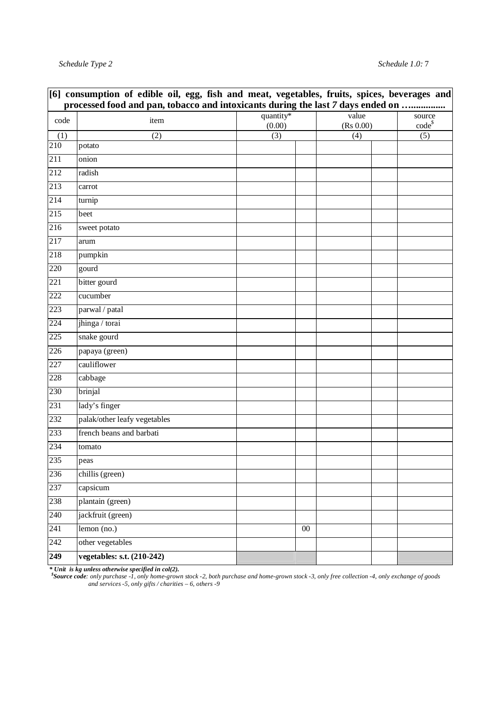|                  | [6] consumption of edible oil, egg, fish and meat, vegetables, fruits, spices, beverages and |                     |        |                    |  |                       |  |  |  |  |  |  |
|------------------|----------------------------------------------------------------------------------------------|---------------------|--------|--------------------|--|-----------------------|--|--|--|--|--|--|
|                  | processed food and pan, tobacco and intoxicants during the last 7 days ended on              |                     |        |                    |  |                       |  |  |  |  |  |  |
| code             | item                                                                                         | quantity*<br>(0.00) |        | value<br>(Rs 0.00) |  | source<br>$code^{\$}$ |  |  |  |  |  |  |
| (1)              | (2)                                                                                          | (3)                 |        | (4)                |  | (5)                   |  |  |  |  |  |  |
| 210              | potato                                                                                       |                     |        |                    |  |                       |  |  |  |  |  |  |
| 211              | onion                                                                                        |                     |        |                    |  |                       |  |  |  |  |  |  |
| 212              | radish                                                                                       |                     |        |                    |  |                       |  |  |  |  |  |  |
| 213              | carrot                                                                                       |                     |        |                    |  |                       |  |  |  |  |  |  |
| 214              | turnip                                                                                       |                     |        |                    |  |                       |  |  |  |  |  |  |
| 215              | beet                                                                                         |                     |        |                    |  |                       |  |  |  |  |  |  |
| 216              | sweet potato                                                                                 |                     |        |                    |  |                       |  |  |  |  |  |  |
| 217              | arum                                                                                         |                     |        |                    |  |                       |  |  |  |  |  |  |
| 218              | pumpkin                                                                                      |                     |        |                    |  |                       |  |  |  |  |  |  |
| 220              | gourd                                                                                        |                     |        |                    |  |                       |  |  |  |  |  |  |
| 221              | bitter gourd                                                                                 |                     |        |                    |  |                       |  |  |  |  |  |  |
| 222              | cucumber                                                                                     |                     |        |                    |  |                       |  |  |  |  |  |  |
| 223              | $\overline{\text{parwal}/\text{p}}$ atal                                                     |                     |        |                    |  |                       |  |  |  |  |  |  |
| 224              | jhinga / torai                                                                               |                     |        |                    |  |                       |  |  |  |  |  |  |
| 225              | snake gourd                                                                                  |                     |        |                    |  |                       |  |  |  |  |  |  |
| 226              | papaya (green)                                                                               |                     |        |                    |  |                       |  |  |  |  |  |  |
| 227              | cauliflower                                                                                  |                     |        |                    |  |                       |  |  |  |  |  |  |
| 228              | cabbage                                                                                      |                     |        |                    |  |                       |  |  |  |  |  |  |
| 230              | brinjal                                                                                      |                     |        |                    |  |                       |  |  |  |  |  |  |
| 231              | lady's finger                                                                                |                     |        |                    |  |                       |  |  |  |  |  |  |
| 232              | palak/other leafy vegetables                                                                 |                     |        |                    |  |                       |  |  |  |  |  |  |
| 233              | french beans and barbati                                                                     |                     |        |                    |  |                       |  |  |  |  |  |  |
| 234              | tomato                                                                                       |                     |        |                    |  |                       |  |  |  |  |  |  |
| 235              | peas                                                                                         |                     |        |                    |  |                       |  |  |  |  |  |  |
| 236              | chillis (green)                                                                              |                     |        |                    |  |                       |  |  |  |  |  |  |
| 237              | capsicum                                                                                     |                     |        |                    |  |                       |  |  |  |  |  |  |
| 238              | plantain (green)                                                                             |                     |        |                    |  |                       |  |  |  |  |  |  |
| 240              | jackfruit (green)                                                                            |                     |        |                    |  |                       |  |  |  |  |  |  |
| $\overline{241}$ | lemon (no.)                                                                                  |                     | $00\,$ |                    |  |                       |  |  |  |  |  |  |
| 242              | other vegetables                                                                             |                     |        |                    |  |                       |  |  |  |  |  |  |
| 249              | vegetables: s.t. (210-242)                                                                   |                     |        |                    |  |                       |  |  |  |  |  |  |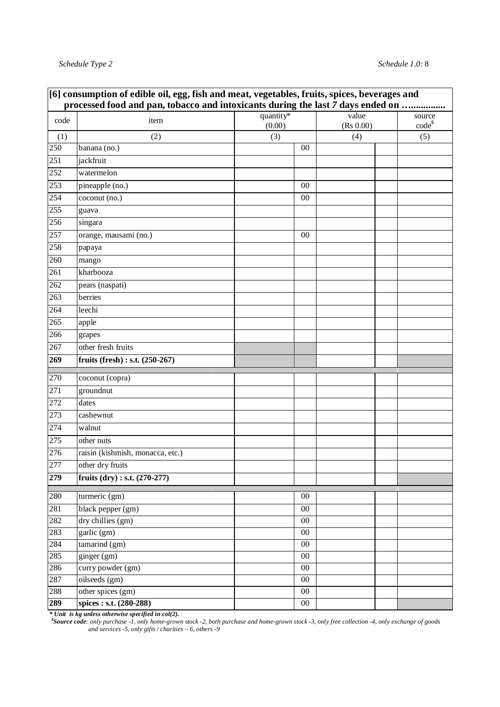|      | [6] consumption of edible oil, egg, fish and meat, vegetables, fruits, spices, beverages and<br>processed food and pan, tobacco and intoxicants during the last 7 days ended on |           |        |                  |             |
|------|---------------------------------------------------------------------------------------------------------------------------------------------------------------------------------|-----------|--------|------------------|-------------|
| code | item                                                                                                                                                                            | quantity* |        | value            | source      |
|      |                                                                                                                                                                                 | (0.00)    |        | (Rs 0.00)<br>(4) | $code^{\$}$ |
| (1)  | (2)                                                                                                                                                                             |           | (3)    |                  | (5)         |
| 250  | banana (no.)                                                                                                                                                                    |           | 00     |                  |             |
| 251  | jackfruit                                                                                                                                                                       |           |        |                  |             |
| 252  | watermelon                                                                                                                                                                      |           |        |                  |             |
| 253  | pineapple (no.)                                                                                                                                                                 |           | 00     |                  |             |
| 254  | coconut (no.)                                                                                                                                                                   |           | 00     |                  |             |
| 255  | guava                                                                                                                                                                           |           |        |                  |             |
| 256  | singara                                                                                                                                                                         |           |        |                  |             |
| 257  | orange, mausami (no.)                                                                                                                                                           |           | 00     |                  |             |
| 258  | papaya                                                                                                                                                                          |           |        |                  |             |
| 260  | mango                                                                                                                                                                           |           |        |                  |             |
| 261  | kharbooza                                                                                                                                                                       |           |        |                  |             |
| 262  | pears (naspati)                                                                                                                                                                 |           |        |                  |             |
| 263  | berries                                                                                                                                                                         |           |        |                  |             |
| 264  | leechi                                                                                                                                                                          |           |        |                  |             |
| 265  | apple                                                                                                                                                                           |           |        |                  |             |
| 266  | grapes                                                                                                                                                                          |           |        |                  |             |
| 267  | other fresh fruits                                                                                                                                                              |           |        |                  |             |
| 269  | fruits (fresh) : s.t. $(250-267)$                                                                                                                                               |           |        |                  |             |
| 270  | coconut (copra)                                                                                                                                                                 |           |        |                  |             |
| 271  | groundnut                                                                                                                                                                       |           |        |                  |             |
| 272  | dates                                                                                                                                                                           |           |        |                  |             |
| 273  | cashewnut                                                                                                                                                                       |           |        |                  |             |
| 274  | walnut                                                                                                                                                                          |           |        |                  |             |
| 275  | other nuts                                                                                                                                                                      |           |        |                  |             |
| 276  | raisin (kishmish, monacca, etc.)                                                                                                                                                |           |        |                  |             |
| 277  | other dry fruits                                                                                                                                                                |           |        |                  |             |
| 279  | fruits $(dry) : s.t. (270-277)$                                                                                                                                                 |           |        |                  |             |
| 280  | turmeric (gm)                                                                                                                                                                   |           | $00\,$ |                  |             |
| 281  | black pepper (gm)                                                                                                                                                               |           | $00\,$ |                  |             |
| 282  | dry chillies (gm)                                                                                                                                                               |           | $00\,$ |                  |             |
| 283  | garlic(gm)                                                                                                                                                                      |           | $00\,$ |                  |             |
| 284  | tamarind(gm)                                                                                                                                                                    |           | $00\,$ |                  |             |
| 285  | ginger (gm)                                                                                                                                                                     |           | $00\,$ |                  |             |
| 286  | curry powder (gm)                                                                                                                                                               |           | $00\,$ |                  |             |
| 287  | oilseeds (gm)                                                                                                                                                                   |           | $00\,$ |                  |             |
| 288  | other spices (gm)                                                                                                                                                               |           | $00\,$ |                  |             |
| 289  | spices: s.t. (280-288)                                                                                                                                                          |           | $00\,$ |                  |             |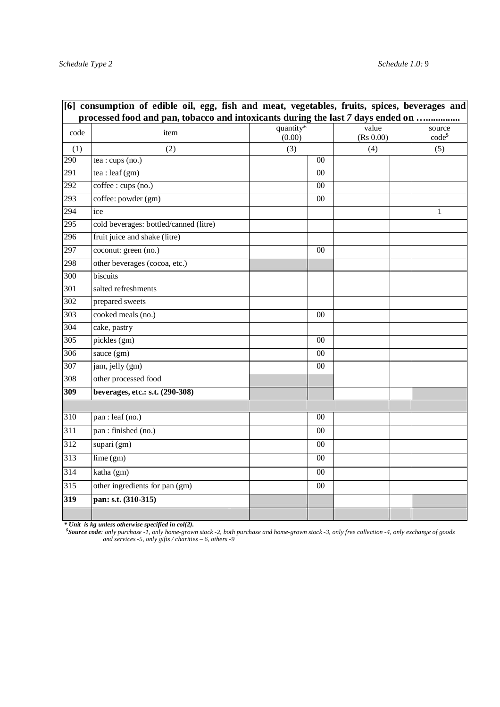|                  | [6] consumption of edible oil, egg, fish and meat, vegetables, fruits, spices, beverages and<br>processed food and pan, tobacco and intoxicants during the last 7 days ended on |                     |        |                    |                       |
|------------------|---------------------------------------------------------------------------------------------------------------------------------------------------------------------------------|---------------------|--------|--------------------|-----------------------|
| code             | item                                                                                                                                                                            | quantity*<br>(0.00) |        | value<br>(Rs 0.00) | source<br>$code^{\$}$ |
| (1)              | (2)                                                                                                                                                                             | (3)                 |        | (4)                | (5)                   |
| 290              | tea : cups (no.)                                                                                                                                                                |                     | $00\,$ |                    |                       |
| 291              | tea : leaf $(gm)$                                                                                                                                                               |                     | 00     |                    |                       |
| 292              | coffee : cups (no.)                                                                                                                                                             |                     | 00     |                    |                       |
| 293              | coffee: powder (gm)                                                                                                                                                             |                     | 00     |                    |                       |
| 294              | ice                                                                                                                                                                             |                     |        |                    | $\mathbf{1}$          |
| 295              | cold beverages: bottled/canned (litre)                                                                                                                                          |                     |        |                    |                       |
| 296              | fruit juice and shake (litre)                                                                                                                                                   |                     |        |                    |                       |
| 297              | coconut: green (no.)                                                                                                                                                            |                     | $00\,$ |                    |                       |
| 298              | other beverages (cocoa, etc.)                                                                                                                                                   |                     |        |                    |                       |
| 300              | biscuits                                                                                                                                                                        |                     |        |                    |                       |
| 301              | salted refreshments                                                                                                                                                             |                     |        |                    |                       |
| 302              | prepared sweets                                                                                                                                                                 |                     |        |                    |                       |
| 303              | cooked meals (no.)                                                                                                                                                              |                     | $00\,$ |                    |                       |
| 304              | cake, pastry                                                                                                                                                                    |                     |        |                    |                       |
| $\overline{305}$ | pickles (gm)                                                                                                                                                                    |                     | $00\,$ |                    |                       |
| 306              | sauce (gm)                                                                                                                                                                      |                     | 00     |                    |                       |
| 307              | jam, jelly (gm)                                                                                                                                                                 |                     | 00     |                    |                       |
| 308              | other processed food                                                                                                                                                            |                     |        |                    |                       |
| 309              | beverages, etc.: s.t. (290-308)                                                                                                                                                 |                     |        |                    |                       |
|                  |                                                                                                                                                                                 |                     |        |                    |                       |
| 310              | pan : leaf (no.)                                                                                                                                                                |                     | $00\,$ |                    |                       |
| 311              | pan : finished (no.)                                                                                                                                                            |                     | $00\,$ |                    |                       |
| 312              | supari (gm)                                                                                                                                                                     |                     | $00\,$ |                    |                       |
| 313              | lime(gm)                                                                                                                                                                        |                     | $00\,$ |                    |                       |
| 314              | katha (gm)                                                                                                                                                                      |                     | 00     |                    |                       |
| 315              | other ingredients for pan (gm)                                                                                                                                                  |                     | 00     |                    |                       |
| 319              | pan: s.t. (310-315)                                                                                                                                                             |                     |        |                    |                       |
|                  |                                                                                                                                                                                 |                     |        |                    |                       |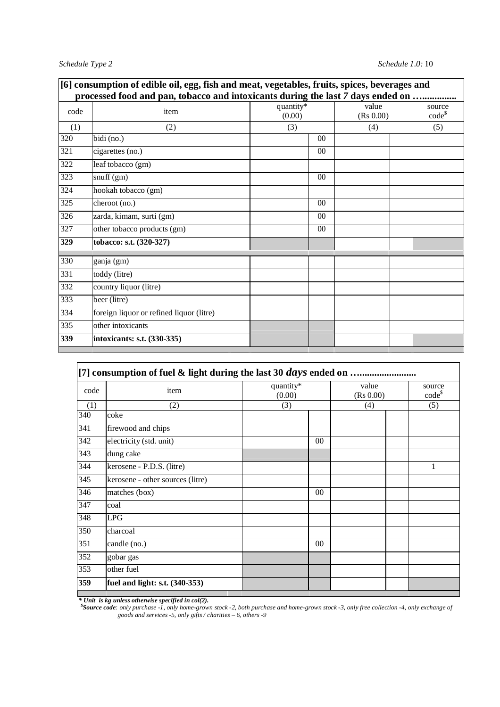|      | [6] consumption of edible oil, egg, fish and meat, vegetables, fruits, spices, beverages and<br>processed food and pan, tobacco and intoxicants during the last 7 days ended on |                     |                    |                    |  |  |  |  |  |  |  |
|------|---------------------------------------------------------------------------------------------------------------------------------------------------------------------------------|---------------------|--------------------|--------------------|--|--|--|--|--|--|--|
| code | item                                                                                                                                                                            | quantity*<br>(0.00) | value<br>(Rs 0.00) | source<br>$code^s$ |  |  |  |  |  |  |  |
| (1)  | (2)                                                                                                                                                                             | (3)                 | (4)                | (5)                |  |  |  |  |  |  |  |
| 320  | bidi (no.)                                                                                                                                                                      | 0 <sup>0</sup>      |                    |                    |  |  |  |  |  |  |  |
| 321  | cigarettes (no.)                                                                                                                                                                | $00\,$              |                    |                    |  |  |  |  |  |  |  |
| 322  | leaf tobacco (gm)                                                                                                                                                               |                     |                    |                    |  |  |  |  |  |  |  |
| 323  | snuff(gm)                                                                                                                                                                       | 00                  |                    |                    |  |  |  |  |  |  |  |
| 324  | hookah tobacco (gm)                                                                                                                                                             |                     |                    |                    |  |  |  |  |  |  |  |
| 325  | cheroot (no.)                                                                                                                                                                   | 0 <sup>0</sup>      |                    |                    |  |  |  |  |  |  |  |
| 326  | zarda, kimam, surti (gm)                                                                                                                                                        | 0 <sup>0</sup>      |                    |                    |  |  |  |  |  |  |  |
| 327  | other tobacco products (gm)                                                                                                                                                     | $00\,$              |                    |                    |  |  |  |  |  |  |  |
| 329  | tobacco: s.t. (320-327)                                                                                                                                                         |                     |                    |                    |  |  |  |  |  |  |  |
| 330  | ganja (gm)                                                                                                                                                                      |                     |                    |                    |  |  |  |  |  |  |  |
| 331  | toddy (litre)                                                                                                                                                                   |                     |                    |                    |  |  |  |  |  |  |  |
| 332  | country liquor (litre)                                                                                                                                                          |                     |                    |                    |  |  |  |  |  |  |  |
| 333  | beer (litre)                                                                                                                                                                    |                     |                    |                    |  |  |  |  |  |  |  |
| 334  | foreign liquor or refined liquor (litre)                                                                                                                                        |                     |                    |                    |  |  |  |  |  |  |  |
| 335  | other intoxicants                                                                                                                                                               |                     |                    |                    |  |  |  |  |  |  |  |
| 339  | intoxicants: s.t. (330-335)                                                                                                                                                     |                     |                    |                    |  |  |  |  |  |  |  |

| code | item                             | quantity*<br>(0.00) |        | value<br>(Rs 0.00) |  | source<br>$code^s$<br>(5) |
|------|----------------------------------|---------------------|--------|--------------------|--|---------------------------|
| (1)  | (2)                              | (3)                 |        |                    |  |                           |
| 340  | coke                             |                     |        |                    |  |                           |
| 341  | firewood and chips               |                     |        |                    |  |                           |
| 342  | electricity (std. unit)          |                     | $00\,$ |                    |  |                           |
| 343  | dung cake                        |                     |        |                    |  |                           |
| 344  | kerosene - P.D.S. (litre)        |                     |        |                    |  | 1                         |
| 345  | kerosene - other sources (litre) |                     |        |                    |  |                           |
| 346  | matches (box)                    |                     | $00\,$ |                    |  |                           |
| 347  | coal                             |                     |        |                    |  |                           |
| 348  | <b>LPG</b>                       |                     |        |                    |  |                           |
| 350  | charcoal                         |                     |        |                    |  |                           |
| 351  | candle (no.)                     |                     | $00\,$ |                    |  |                           |
| 352  | gobar gas                        |                     |        |                    |  |                           |
| 353  | other fuel                       |                     |        |                    |  |                           |
| 359  | fuel and light: s.t. (340-353)   |                     |        |                    |  |                           |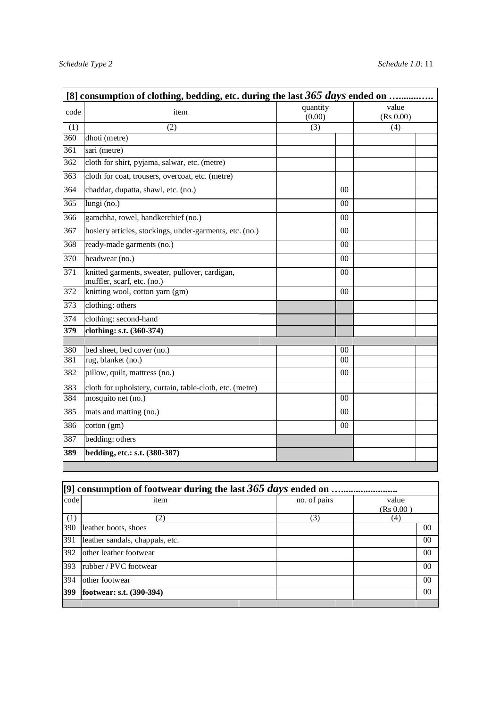|                  | [8] consumption of clothing, bedding, etc. during the last $365$ days ended on |                    |                    |  |  |  |  |  |  |  |
|------------------|--------------------------------------------------------------------------------|--------------------|--------------------|--|--|--|--|--|--|--|
| code             | item                                                                           | quantity<br>(0.00) | value<br>(Rs 0.00) |  |  |  |  |  |  |  |
| (1)              | (2)                                                                            | (3)                | (4)                |  |  |  |  |  |  |  |
| 360              | dhoti (metre)                                                                  |                    |                    |  |  |  |  |  |  |  |
| 361              | sari (metre)                                                                   |                    |                    |  |  |  |  |  |  |  |
| $\overline{362}$ | cloth for shirt, pyjama, salwar, etc. (metre)                                  |                    |                    |  |  |  |  |  |  |  |
| 363              | cloth for coat, trousers, overcoat, etc. (metre)                               |                    |                    |  |  |  |  |  |  |  |
| 364              | chaddar, dupatta, shawl, etc. (no.)                                            | 0 <sup>0</sup>     |                    |  |  |  |  |  |  |  |
| 365              | lungi $(no.)$                                                                  | 00                 |                    |  |  |  |  |  |  |  |
| 366              | gamchha, towel, handkerchief (no.)                                             | 00                 |                    |  |  |  |  |  |  |  |
| $\overline{367}$ | hosiery articles, stockings, under-garments, etc. (no.)                        | 0 <sup>0</sup>     |                    |  |  |  |  |  |  |  |
| 368              | ready-made garments (no.)                                                      | 00                 |                    |  |  |  |  |  |  |  |
| 370              | headwear (no.)                                                                 | $00\,$             |                    |  |  |  |  |  |  |  |
| 371              | knitted garments, sweater, pullover, cardigan,<br>muffler, scarf, etc. (no.)   | 0 <sup>0</sup>     |                    |  |  |  |  |  |  |  |
| 372              | knitting wool, cotton yarn (gm)                                                | 00                 |                    |  |  |  |  |  |  |  |
| 373              | clothing: others                                                               |                    |                    |  |  |  |  |  |  |  |
| 374              | clothing: second-hand                                                          |                    |                    |  |  |  |  |  |  |  |
| 379              | clothing: s.t. (360-374)                                                       |                    |                    |  |  |  |  |  |  |  |
| 380              | bed sheet, bed cover (no.)                                                     | 0 <sup>0</sup>     |                    |  |  |  |  |  |  |  |
| 381              | rug, blanket (no.)                                                             | $00\,$             |                    |  |  |  |  |  |  |  |
| 382              | pillow, quilt, mattress (no.)                                                  | 00                 |                    |  |  |  |  |  |  |  |
|                  |                                                                                |                    |                    |  |  |  |  |  |  |  |
| 383<br>384       | cloth for upholstery, curtain, table-cloth, etc. (metre)<br>mosquito net (no.) | 00                 |                    |  |  |  |  |  |  |  |
|                  |                                                                                |                    |                    |  |  |  |  |  |  |  |
| 385              | mats and matting (no.)                                                         | 0 <sub>0</sub>     |                    |  |  |  |  |  |  |  |
| 386              | $\cot$ <sub>(gm)</sub>                                                         | 0 <sup>0</sup>     |                    |  |  |  |  |  |  |  |
| 387              | bedding: others                                                                |                    |                    |  |  |  |  |  |  |  |
| 389              | bedding, etc.: s.t. (380-387)                                                  |                    |                    |  |  |  |  |  |  |  |
|                  |                                                                                |                    |                    |  |  |  |  |  |  |  |

| code | item                            | no. of pairs | value     |  |  |  |  |  |  |
|------|---------------------------------|--------------|-----------|--|--|--|--|--|--|
|      |                                 |              | (Rs 0.00) |  |  |  |  |  |  |
| (1)  | (2)                             | (3)          | (4)       |  |  |  |  |  |  |
| 390  | leather boots, shoes            |              | $00\,$    |  |  |  |  |  |  |
| 391  | leather sandals, chappals, etc. |              | 00        |  |  |  |  |  |  |
| 392  | other leather footwear          |              | 00        |  |  |  |  |  |  |
| 393  | rubber / PVC footwear           |              | 00        |  |  |  |  |  |  |
| 394  | other footwear                  |              | 00        |  |  |  |  |  |  |
| 399  | footwear: s.t. (390-394)        |              | 00        |  |  |  |  |  |  |
|      |                                 |              |           |  |  |  |  |  |  |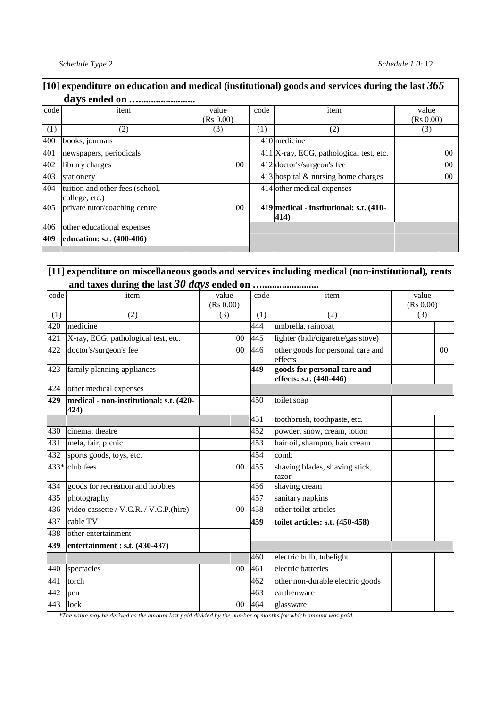|      | [10] expenditure on education and medical (institutional) goods and services during the last $365$ |                    |                 |      |                                                 |                    |                 |  |  |  |  |  |  |
|------|----------------------------------------------------------------------------------------------------|--------------------|-----------------|------|-------------------------------------------------|--------------------|-----------------|--|--|--|--|--|--|
|      |                                                                                                    |                    |                 |      |                                                 |                    |                 |  |  |  |  |  |  |
| code | item                                                                                               | value<br>(Rs 0.00) |                 | code | item                                            | value<br>(Rs 0.00) |                 |  |  |  |  |  |  |
| (1)  | (2)                                                                                                | (3)                |                 | (1)  | (2)                                             | (3)                |                 |  |  |  |  |  |  |
| 400  | books, journals                                                                                    |                    |                 |      | $410$ medicine                                  |                    |                 |  |  |  |  |  |  |
| 401  | newspapers, periodicals                                                                            |                    |                 |      | $411$  X-ray, ECG, pathological test, etc.      |                    | 00 <sup>0</sup> |  |  |  |  |  |  |
| 402  | library charges                                                                                    |                    | 00 <sup>2</sup> |      | 412 doctor's/surgeon's fee                      |                    | $00\,$          |  |  |  |  |  |  |
| 403  | stationery                                                                                         |                    |                 |      | $413$ hospital & nursing home charges           |                    | 00 <sup>0</sup> |  |  |  |  |  |  |
| 404  | tuition and other fees (school,<br>college, etc.)                                                  |                    |                 |      | 414 other medical expenses                      |                    |                 |  |  |  |  |  |  |
| 405  | private tutor/coaching centre                                                                      |                    | 0 <sup>0</sup>  |      | 419 medical - institutional: s.t. (410-<br>414) |                    |                 |  |  |  |  |  |  |
| 406  | other educational expenses                                                                         |                    |                 |      |                                                 |                    |                 |  |  |  |  |  |  |
| 409  | education: s.t. (400-406)                                                                          |                    |                 |      |                                                 |                    |                 |  |  |  |  |  |  |

|      | $[11]$ expenditure on miscellaneous goods and services including medical (non-institutional), rents |           |               |                                                        |           |                |
|------|-----------------------------------------------------------------------------------------------------|-----------|---------------|--------------------------------------------------------|-----------|----------------|
|      |                                                                                                     |           |               |                                                        |           |                |
| code | item                                                                                                | value     | code          | item                                                   | value     |                |
|      |                                                                                                     | (Rs 0.00) |               |                                                        | (Rs 0.00) |                |
| (1)  | (2)                                                                                                 | (3)       | (1)           | (2)                                                    | (3)       |                |
| 420  | medicine                                                                                            |           | 444           | umbrella, raincoat                                     |           |                |
| 421  | X-ray, ECG, pathological test, etc.                                                                 |           | 445<br>00     | lighter (bidi/cigarette/gas stove)                     |           |                |
| 422  | doctor's/surgeon's fee                                                                              |           | 446<br>00     | other goods for personal care and<br>effects           |           | 0 <sub>0</sub> |
| 423  | family planning appliances                                                                          |           | 449           | goods for personal care and<br>effects: s.t. (440-446) |           |                |
| 424  | other medical expenses                                                                              |           |               |                                                        |           |                |
| 429  | medical - non-institutional: s.t. (420-<br>424)                                                     |           | 450           | toilet soap                                            |           |                |
|      |                                                                                                     |           | 451           | toothbrush, toothpaste, etc.                           |           |                |
| 430  | cinema, theatre                                                                                     |           | 452           | powder, snow, cream, lotion                            |           |                |
| 431  | mela, fair, picnic                                                                                  |           | 453           | hair oil, shampoo, hair cream                          |           |                |
| 432  | sports goods, toys, etc.                                                                            |           | 454           | comb                                                   |           |                |
|      | $433*$ club fees                                                                                    |           | 455<br>$00\,$ | shaving blades, shaving stick,<br>razor                |           |                |
| 434  | goods for recreation and hobbies                                                                    |           | 456           | shaving cream                                          |           |                |
| 435  | photography                                                                                         |           | 457           | sanitary napkins                                       |           |                |
| 436  | video cassette / V.C.R. / V.C.P.(hire)                                                              |           | 458<br>00     | other toilet articles                                  |           |                |
| 437  | cable TV                                                                                            |           | 459           | toilet articles: s.t. (450-458)                        |           |                |
| 438  | other entertainment                                                                                 |           |               |                                                        |           |                |
| 439  | entertainment : s.t. (430-437)                                                                      |           |               |                                                        |           |                |
|      |                                                                                                     |           | 460           | electric bulb, tubelight                               |           |                |
| 440  | spectacles                                                                                          |           | 461<br>$00\,$ | electric batteries                                     |           |                |
| 441  | torch                                                                                               |           | 462           | other non-durable electric goods                       |           |                |
| 442  | pen                                                                                                 |           | 463           | earthenware                                            |           |                |
| 443  | lock                                                                                                |           | 464<br>$00\,$ | glassware                                              |           |                |

*\*The value may be derived as the amount last paid divided by the number of months for which amount was paid.*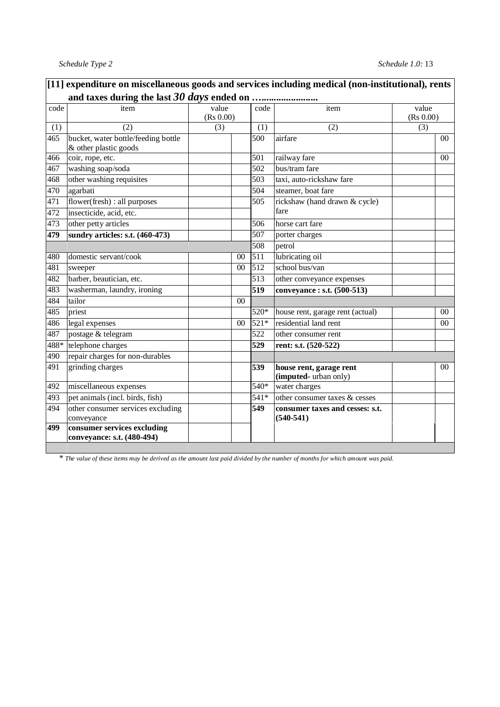| code | item                                                         | value            |                | code             | item                                             | value     |                |
|------|--------------------------------------------------------------|------------------|----------------|------------------|--------------------------------------------------|-----------|----------------|
|      |                                                              | (Rs 0.00)        |                |                  |                                                  | (Rs 0.00) |                |
| (1)  | $\overline{(2)}$                                             | $\overline{(3)}$ |                | (1)              | (2)                                              | (3)       |                |
| 465  | bucket, water bottle/feeding bottle<br>& other plastic goods |                  |                | 500              | airfare                                          |           | 00             |
| 466  | coir, rope, etc.                                             |                  |                | 501              | railway fare                                     |           | $00\,$         |
| 467  | washing soap/soda                                            |                  |                | 502              | bus/tram fare                                    |           |                |
| 468  | other washing requisites                                     |                  |                | 503              | taxi, auto-rickshaw fare                         |           |                |
| 470  | agarbati                                                     |                  |                | 504              | steamer, boat fare                               |           |                |
| 471  | flower(fresh) : all purposes                                 |                  |                | 505              | rickshaw (hand drawn & cycle)                    |           |                |
| 472  | insecticide, acid, etc.                                      |                  |                |                  | fare                                             |           |                |
| 473  | other petty articles                                         |                  |                | 506              | horse cart fare                                  |           |                |
| 479  | sundry articles: s.t. (460-473)                              |                  |                | 507              | porter charges                                   |           |                |
|      |                                                              |                  |                | 508              | petrol                                           |           |                |
| 480  | domestic servant/cook                                        |                  | 00             | 511              | lubricating oil                                  |           |                |
| 481  | sweeper                                                      |                  | 00             | $\overline{512}$ | school bus/van                                   |           |                |
| 482  | barber, beautician, etc.                                     |                  |                | 513              | other conveyance expenses                        |           |                |
| 483  | washerman, laundry, ironing                                  |                  |                | 519              | conveyance : s.t. (500-513)                      |           |                |
| 484  | tailor                                                       |                  | 0 <sup>0</sup> |                  |                                                  |           |                |
| 485  | priest                                                       |                  |                | 520*             | house rent, garage rent (actual)                 |           | 0 <sup>0</sup> |
| 486  | legal expenses                                               |                  | 00             | $521*$           | residential land rent                            |           | $00\,$         |
| 487  | postage & telegram                                           |                  |                | 522              | other consumer rent                              |           |                |
| 488* | telephone charges                                            |                  |                | 529              | rent: s.t. (520-522)                             |           |                |
| 490  | repair charges for non-durables                              |                  |                |                  |                                                  |           |                |
| 491  | grinding charges                                             |                  |                | 539              | house rent, garage rent<br>(imputed-urban only)  |           | 00             |
| 492  | miscellaneous expenses                                       |                  |                | 540*             | water charges                                    |           |                |
| 493  | pet animals (incl. birds, fish)                              |                  |                | 541*             | other consumer taxes & cesses                    |           |                |
| 494  | other consumer services excluding<br>conveyance              |                  |                | 549              | consumer taxes and cesses: s.t.<br>$(540 - 541)$ |           |                |
| 499  | consumer services excluding<br>conveyance: s.t. (480-494)    |                  |                |                  |                                                  |           |                |

*\* The value of these items may be derived as the amount last paid divided by the number of months for which amount was paid.*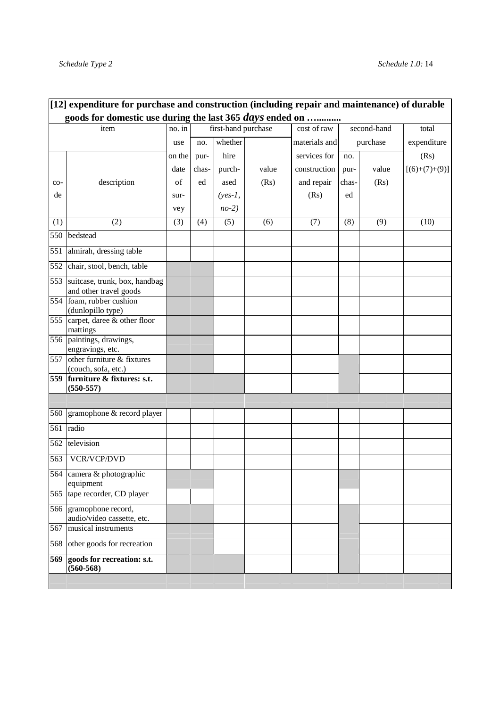|     | $[12]$ expenditure for purchase and construction (including repair and maintenance) of durable |        |       |                     |       |               |       |             |                 |
|-----|------------------------------------------------------------------------------------------------|--------|-------|---------------------|-------|---------------|-------|-------------|-----------------|
|     | goods for domestic use during the last 365 days ended on                                       |        |       |                     |       |               |       |             |                 |
|     | item                                                                                           | no. in |       | first-hand purchase |       | cost of raw   |       | second-hand | total           |
|     |                                                                                                | use    | no.   | whether             |       | materials and |       | purchase    | expenditure     |
|     |                                                                                                | on the | pur-  | hire                |       | services for  | no.   |             | (Rs)            |
|     |                                                                                                | date   | chas- | purch-              | value | construction  | pur-  | value       | $[(6)+(7)+(9)]$ |
| co- | description                                                                                    | of     | ed    | ased                | (Rs)  | and repair    | chas- | (Rs)        |                 |
| de  |                                                                                                | sur-   |       | $(yes-1,$           |       | (Rs)          | ed    |             |                 |
|     |                                                                                                | vey    |       | $no-2)$             |       |               |       |             |                 |
| (1) | (2)                                                                                            | (3)    | (4)   | (5)                 | (6)   | (7)           | (8)   | (9)         | (10)            |
| 550 | bedstead                                                                                       |        |       |                     |       |               |       |             |                 |
| 551 | almirah, dressing table                                                                        |        |       |                     |       |               |       |             |                 |
| 552 | chair, stool, bench, table                                                                     |        |       |                     |       |               |       |             |                 |
| 553 | suitcase, trunk, box, handbag<br>and other travel goods                                        |        |       |                     |       |               |       |             |                 |
|     | 554 foam, rubber cushion<br>(dunlopillo type)                                                  |        |       |                     |       |               |       |             |                 |
| 555 | carpet, daree & other floor<br>mattings                                                        |        |       |                     |       |               |       |             |                 |
|     | 556 paintings, drawings,<br>engravings, etc.                                                   |        |       |                     |       |               |       |             |                 |
| 557 | other furniture & fixtures<br>(couch, sofa, etc.)                                              |        |       |                     |       |               |       |             |                 |
| 559 | furniture & fixtures: s.t.<br>$(550 - 557)$                                                    |        |       |                     |       |               |       |             |                 |
|     |                                                                                                |        |       |                     |       |               |       |             |                 |
| 560 | gramophone & record player                                                                     |        |       |                     |       |               |       |             |                 |
| 561 | radio                                                                                          |        |       |                     |       |               |       |             |                 |
| 562 | television                                                                                     |        |       |                     |       |               |       |             |                 |
| 563 | VCR/VCP/DVD                                                                                    |        |       |                     |       |               |       |             |                 |
|     | 564 camera & photographic<br>equipment                                                         |        |       |                     |       |               |       |             |                 |
| 565 | tape recorder, CD player                                                                       |        |       |                     |       |               |       |             |                 |
|     | 566 gramophone record,<br>audio/video cassette, etc.                                           |        |       |                     |       |               |       |             |                 |
| 567 | musical instruments                                                                            |        |       |                     |       |               |       |             |                 |
| 568 | other goods for recreation                                                                     |        |       |                     |       |               |       |             |                 |
| 569 | goods for recreation: s.t.<br>$(560 - 568)$                                                    |        |       |                     |       |               |       |             |                 |
|     |                                                                                                |        |       |                     |       |               |       |             |                 |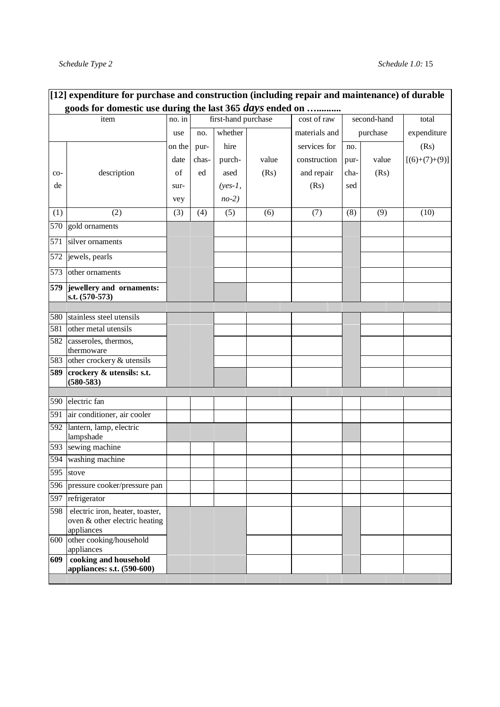|     | [12] expenditure for purchase and construction (including repair and maintenance) of durable |        |       |                     |       |               |      |             |                 |
|-----|----------------------------------------------------------------------------------------------|--------|-------|---------------------|-------|---------------|------|-------------|-----------------|
|     | goods for domestic use during the last 365 days ended on                                     |        |       |                     |       |               |      |             |                 |
|     | item                                                                                         | no. in |       | first-hand purchase |       | cost of raw   |      | second-hand | total           |
|     |                                                                                              | use    | no.   | whether             |       | materials and |      | purchase    | expenditure     |
|     |                                                                                              | on the | pur-  | hire                |       | services for  | no.  |             | (Rs)            |
|     |                                                                                              | date   | chas- | purch-              | value | construction  | pur- | value       | $[(6)+(7)+(9)]$ |
| co- | description                                                                                  | of     | ed    | ased                | (Rs)  | and repair    | cha- | (Rs)        |                 |
| de  |                                                                                              | sur-   |       | $(yes-1,$           |       | (Rs)          | sed  |             |                 |
|     |                                                                                              | vey    |       | $no-2)$             |       |               |      |             |                 |
| (1) | (2)                                                                                          | (3)    | (4)   | (5)                 | (6)   | (7)           | (8)  | (9)         | (10)            |
| 570 | gold ornaments                                                                               |        |       |                     |       |               |      |             |                 |
| 571 | silver ornaments                                                                             |        |       |                     |       |               |      |             |                 |
| 572 | jewels, pearls                                                                               |        |       |                     |       |               |      |             |                 |
| 573 | other ornaments                                                                              |        |       |                     |       |               |      |             |                 |
| 579 | jewellery and ornaments:<br>s.t. (570-573)                                                   |        |       |                     |       |               |      |             |                 |
|     |                                                                                              |        |       |                     |       |               |      |             |                 |
| 580 | stainless steel utensils                                                                     |        |       |                     |       |               |      |             |                 |
| 581 | other metal utensils                                                                         |        |       |                     |       |               |      |             |                 |
| 582 | casseroles, thermos,<br>thermoware                                                           |        |       |                     |       |               |      |             |                 |
| 583 | other crockery & utensils                                                                    |        |       |                     |       |               |      |             |                 |
| 589 | crockery & utensils: s.t.                                                                    |        |       |                     |       |               |      |             |                 |
|     | $(580 - 583)$                                                                                |        |       |                     |       |               |      |             |                 |
| 590 | electric fan                                                                                 |        |       |                     |       |               |      |             |                 |
| 591 | air conditioner, air cooler                                                                  |        |       |                     |       |               |      |             |                 |
| 592 | lantern, lamp, electric<br>lampshade                                                         |        |       |                     |       |               |      |             |                 |
| 593 | sewing machine                                                                               |        |       |                     |       |               |      |             |                 |
| 594 | washing machine                                                                              |        |       |                     |       |               |      |             |                 |
|     | 595 stove                                                                                    |        |       |                     |       |               |      |             |                 |
| 596 | pressure cooker/pressure pan                                                                 |        |       |                     |       |               |      |             |                 |
| 597 | refrigerator                                                                                 |        |       |                     |       |               |      |             |                 |
| 598 | electric iron, heater, toaster,<br>oven & other electric heating<br>appliances               |        |       |                     |       |               |      |             |                 |
| 600 | other cooking/household<br>appliances                                                        |        |       |                     |       |               |      |             |                 |
| 609 | cooking and household<br>appliances: s.t. (590-600)                                          |        |       |                     |       |               |      |             |                 |
|     |                                                                                              |        |       |                     |       |               |      |             |                 |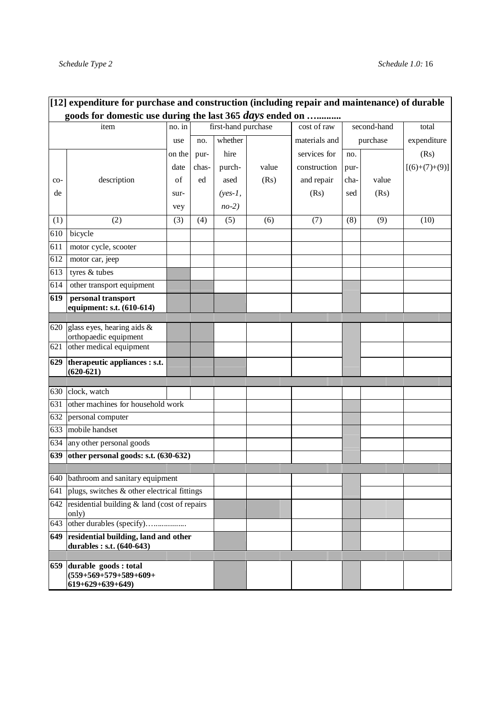÷.

|                  | [12] expenditure for purchase and construction (including repair and maintenance) of durable<br>goods for domestic use during the last 365 days ended on |        |       |                     |       |               |      |             |                 |
|------------------|----------------------------------------------------------------------------------------------------------------------------------------------------------|--------|-------|---------------------|-------|---------------|------|-------------|-----------------|
|                  | item                                                                                                                                                     | no. in |       | first-hand purchase |       | cost of raw   |      | second-hand | total           |
|                  |                                                                                                                                                          | use    | no.   | whether             |       | materials and |      | purchase    | expenditure     |
|                  |                                                                                                                                                          | on the | pur-  | hire                |       | services for  | no.  |             | (Rs)            |
|                  |                                                                                                                                                          | date   | chas- | purch-              | value | construction  | pur- |             | $[(6)+(7)+(9)]$ |
| co-              | description                                                                                                                                              | of     | ed    | ased                | (Rs)  | and repair    | cha- | value       |                 |
| de               |                                                                                                                                                          | sur-   |       | $(yes-1,$           |       | (Rs)          | sed  | (Rs)        |                 |
|                  |                                                                                                                                                          | vey    |       | $no-2)$             |       |               |      |             |                 |
| (1)              | (2)                                                                                                                                                      | (3)    | (4)   | (5)                 | (6)   | (7)           | (8)  | (9)         | (10)            |
| 610              | bicycle                                                                                                                                                  |        |       |                     |       |               |      |             |                 |
| 611              | motor cycle, scooter                                                                                                                                     |        |       |                     |       |               |      |             |                 |
| $\overline{612}$ | motor car, jeep                                                                                                                                          |        |       |                     |       |               |      |             |                 |
| 613              | tyres & tubes                                                                                                                                            |        |       |                     |       |               |      |             |                 |
| 614              | other transport equipment                                                                                                                                |        |       |                     |       |               |      |             |                 |
| 619              | personal transport<br>equipment: s.t. (610-614)                                                                                                          |        |       |                     |       |               |      |             |                 |
| 620              | glass eyes, hearing aids &                                                                                                                               |        |       |                     |       |               |      |             |                 |
|                  | orthopaedic equipment                                                                                                                                    |        |       |                     |       |               |      |             |                 |
| 621              | other medical equipment                                                                                                                                  |        |       |                     |       |               |      |             |                 |
| 629              | therapeutic appliances : s.t.<br>$(620-621)$                                                                                                             |        |       |                     |       |               |      |             |                 |
| 630              | clock, watch                                                                                                                                             |        |       |                     |       |               |      |             |                 |
| 631              | other machines for household work                                                                                                                        |        |       |                     |       |               |      |             |                 |
| 632              | personal computer                                                                                                                                        |        |       |                     |       |               |      |             |                 |
| 633              | mobile handset                                                                                                                                           |        |       |                     |       |               |      |             |                 |
| 634              | any other personal goods                                                                                                                                 |        |       |                     |       |               |      |             |                 |
| 639              | other personal goods: s.t. (630-632)                                                                                                                     |        |       |                     |       |               |      |             |                 |
|                  |                                                                                                                                                          |        |       |                     |       |               |      |             |                 |
|                  | 640 bathroom and sanitary equipment                                                                                                                      |        |       |                     |       |               |      |             |                 |
| 641              | plugs, switches & other electrical fittings                                                                                                              |        |       |                     |       |               |      |             |                 |
| 642              | residential building & land (cost of repairs<br>only)                                                                                                    |        |       |                     |       |               |      |             |                 |
| 643              | other durables (specify)                                                                                                                                 |        |       |                     |       |               |      |             |                 |
| 649              | residential building, land and other<br>durables : s.t. (640-643)                                                                                        |        |       |                     |       |               |      |             |                 |
|                  |                                                                                                                                                          |        |       |                     |       |               |      |             |                 |
| 659              | durable goods : total<br>$(559+569+579+589+609+$<br>$619+629+639+649$                                                                                    |        |       |                     |       |               |      |             |                 |